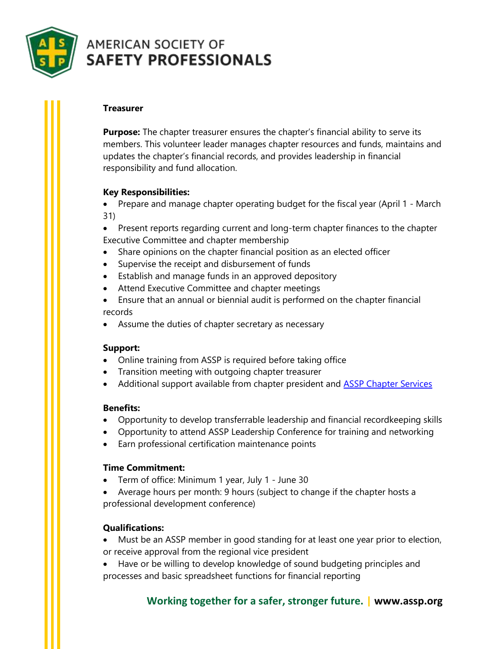

# **AMERICAN SOCIETY OF SAFETY PROFESSIONALS**

### **Treasurer**

**Purpose:** The chapter treasurer ensures the chapter's financial ability to serve its members. This volunteer leader manages chapter resources and funds, maintains and updates the chapter's financial records, and provides leadership in financial responsibility and fund allocation.

## **Key Responsibilities:**

• Prepare and manage chapter operating budget for the fiscal year (April 1 - March 31)

• Present reports regarding current and long-term chapter finances to the chapter Executive Committee and chapter membership

- Share opinions on the chapter financial position as an elected officer
- Supervise the receipt and disbursement of funds
- Establish and manage funds in an approved depository
- Attend Executive Committee and chapter meetings
- Ensure that an annual or biennial audit is performed on the chapter financial records
- Assume the duties of chapter secretary as necessary

#### **Support:**

- Online training from ASSP is required before taking office
- Transition meeting with outgoing chapter treasurer
- Additional support available from chapter president and **ASSP Chapter Services**

#### **Benefits:**

- Opportunity to develop transferrable leadership and financial recordkeeping skills
- Opportunity to attend ASSP Leadership Conference for training and networking
- Earn professional certification maintenance points

#### **Time Commitment:**

- Term of office: Minimum 1 year, July 1 June 30
- Average hours per month: 9 hours (subject to change if the chapter hosts a professional development conference)

#### **Qualifications:**

• Must be an ASSP member in good standing for at least one year prior to election,

- or receive approval from the regional vice president
- Have or be willing to develop knowledge of sound budgeting principles and processes and basic spreadsheet functions for financial reporting